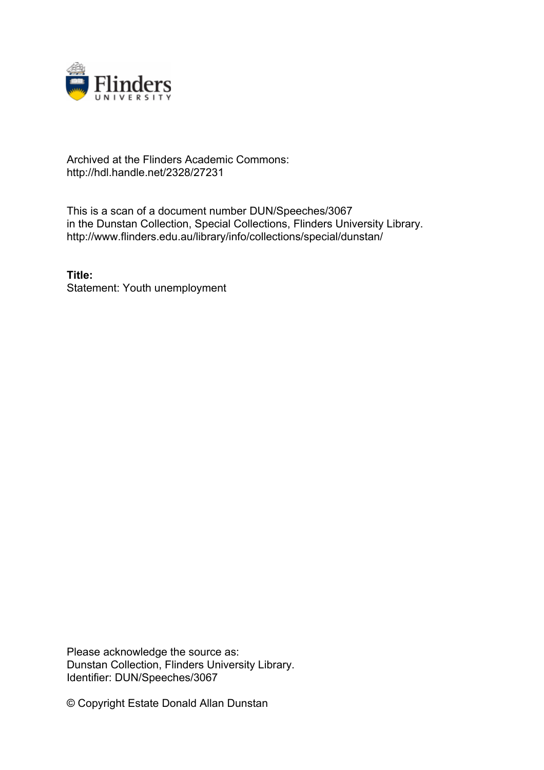

## Archived at the Flinders Academic Commons: http://hdl.handle.net/2328/27231

This is a scan of a document number DUN/Speeches/3067 in the Dunstan Collection, Special Collections, Flinders University Library. http://www.flinders.edu.au/library/info/collections/special/dunstan/

**Title:** Statement: Youth unemployment

Please acknowledge the source as: Dunstan Collection, Flinders University Library. Identifier: DUN/Speeches/3067

© Copyright Estate Donald Allan Dunstan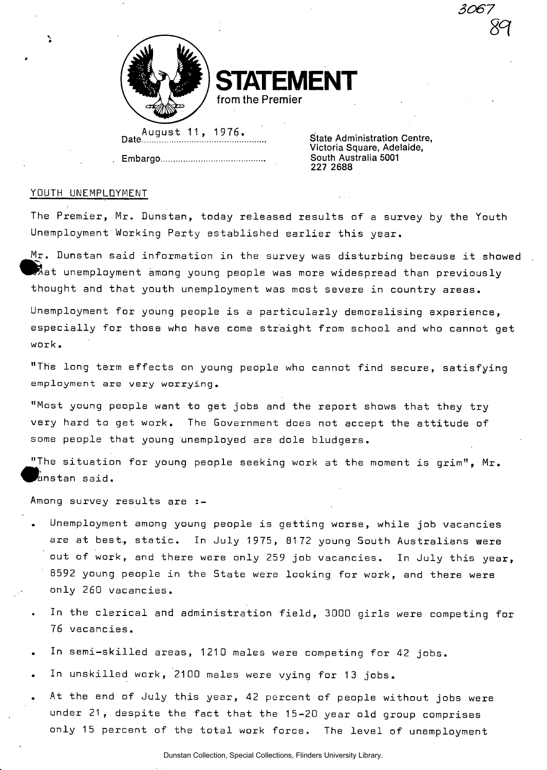

**STATEMENT** 

**from the Premier** 

August 1 1 , 1 976. t . . . . . .. \_ . **Date State Administration Centre,** 

**Embargo South Australia 5001** 

**Victoria Square, Adelaide, 227 2688** 

*3067* 

*m* 

## YOUTH UNEMPLOYMENT

N

The Premier, Mr. Dunstan, today released results of a survey by the Youth Unemployment Working Party established earlier this year.

 $Mr$ . Dunstan said information in the survey was disturbing because it showed  $\bar{\mathbb{Z}}$ at unemployment among young people was more widespread than previously thought and that youth unemployment was most severe in country areas.

Unemployment for young people is a particularly demoralising experience, especially for those who have come straight from school and who cannot get work.

"The long term effects on young people who cannot find secure, satisfying **employmen t are very worrying .** 

"Most young people want to get jobs and the report shows that they try very hard to get work. The Government does not accept the attitude of some people that young unemployed are dole bludgers.

"The situation for young people seeking work at the moment is grim", Mr.  $\ell$ instan said.

Among survey results are

- Unemployment among young people is getting worse, while job vacancies are at best, static. In July 1975, 8172 young South Australians were out of work, and there were only 259 job vacancies. In July this year, 8592 young people in the State were looking for work, and there were only 260 vacancies.
- In the clerical and administration field, 3000 girls were competing for 76 vacancies.
- In semi-skilled areas, 1210 males were competing for 42 jobs.
- In unskilled work, 2100 males were vying for 13 jobs.
- At the end of July this year, 42 percent of people without jobs were under 21, despite the fact that the 15-20 year old group comprises only 15 percent of the total work force. The level of unemployment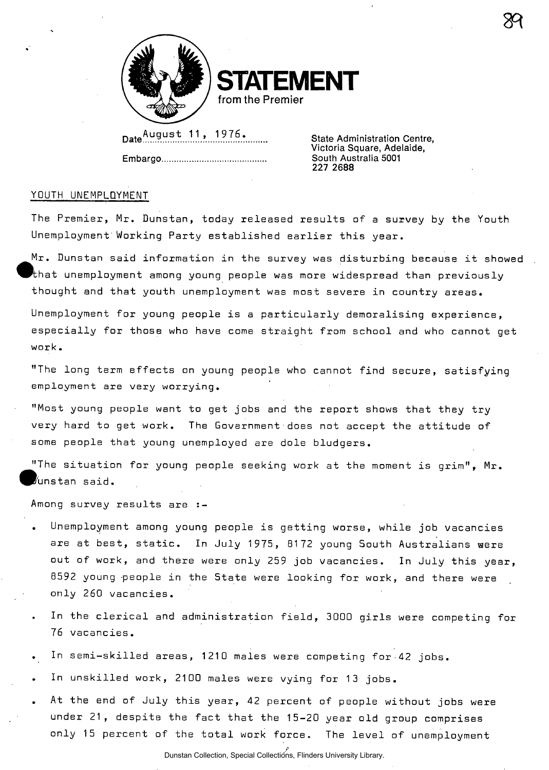

**STATEMENT from the Premier** 

**Date <sup>A</sup> .^.?.^.l JJ. ^ J..<sup>9</sup> ..**

**Embargo South Australia 5001** 

*State Administration Centre,* **Victoria Square, Adelaide, 227 2688** 

**3R** 

## YOUTH UNEMPLOYMENT

The Premier, Mr. Dunstan, today released results of a survey by the Youth Unemployment Working Party established earlier this year.

\_Mr. Dunstan said information in the survey was disturbing because it showed  $\!$ that unemployment among young people was more widespread than previously thought and that youth unemployment was most severe in country areas.

Unemployment for young people is a particularly demoralising experience, especially for those who have come straight from school and who cannot get work.

"The long term effects on young people who cannot find secure, satisfying employment are very worrying.

"Most young people want to get jobs and the report shows that they try very hard to get work. The Government•does not accept the attitude of some people that young unemployed are dole bludgers.

"The situation for young people seeking work at the moment is grim", Mr.  $\ell$ unstan said.

Among survey results are :-

- . Unemployment among young people is getting worse, while job vacancies are at best, static. In July 1975, 8172 young South Australians were out of work, and there were only 259 job vacancies. In July this year, 8592 young -people in the State were looking for work, and there were only 260 vacancies.
- In the clerical and administration field, 3000 girls were competing for 76 vacancies.
- In semi-skilled areas, 1210 males were competing for 42 jobs.

In unskilled work, 2100 males were vying for 13 jobs.

At the end of July this year, 42 percent of people without jobs were under 21, despite the fact that the 15-20 year old group comprises only 15 percent of the total work force. The level of unemployment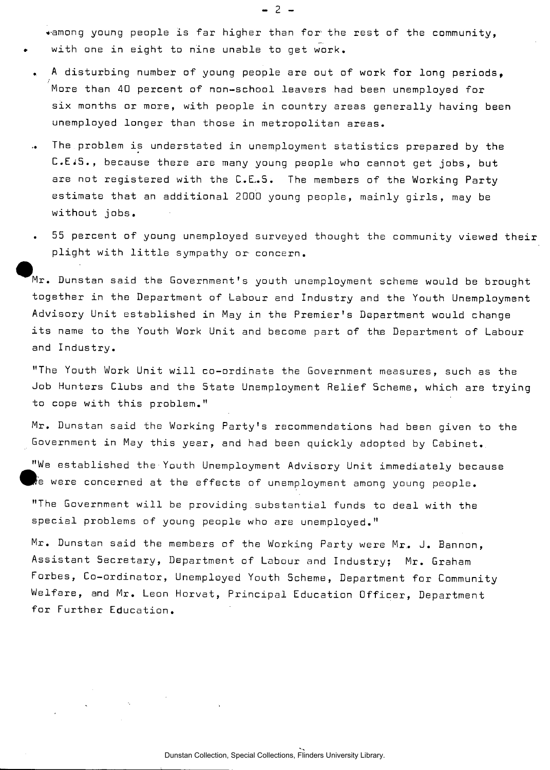4-among young people Is far higher than for- the rest of the community, » with one in eight to nine unable to get work.

- . A disturbing number of young people are out of work for long periods, More than 40 percent of non-school leavers had been unemployed for six months or more, with people in country areas generally having been unemployed longer than those in metropolitan areas.
- .. The problem is understated in unemployment statistics prepared by the C.EiS., because there are many young people who cannot get jobs, but are not registered with the C.E.S. The members of the Working Party estimate that an additional 2000 young people, mainly girls, may be without jobs.
- 55 percent of young unemployed surveyed thought the community viewed their plight with little sympathy or concern.

 $^\prime$ Mr. Dunstan said the Government's youth unemployment scheme would be brought together in the Department of Labour and Industry and the Youth Unemployment Advisory Unit established in May in the Premier's Department would change its name to the Youth Work Unit and become part of the Department of Labour and Industry.

"The Youth Work Unit will co-ordinate the Government measures, such as the Job Hunters Clubs and the 5tate Unemployment Relief Scheme, which are trying to cope with this problem."

Mr. Dunstan said the Working Party's recommendations had been given to the Government in May this year, and had been quickly adopted by Cabinet.

"We established the Youth Unemployment Advisory Unit immediately because  $\vec{b}$ e were concerned at the effects of unemployment among young people.

"The Government will be providing substantial funds to deal with the special problems of young people who are unemployed."

Mr. Dunstan said the members of the Working Party were Mr. J. Bannon, Assistant Secretary, Department of Labour and Industry; Mr. Graham Forbes, Co-ordinator, Unemployed Youth Scheme, Department for Community Welfare, and Mr. Leon Horvat, Principal Education Officer, Department for Further Education.

Dunstan Collection, Special Collections, Flinders University Library.